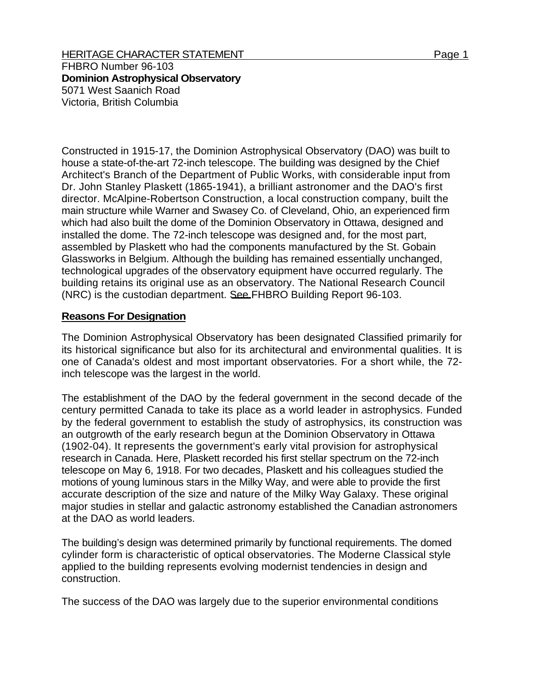HERITAGE CHARACTER STATEMENT FOR A 2000 1 Page 1

FHBRO Number 96-103 **Dominion Astrophysical Observatory**  5071 West Saanich Road Victoria, British Columbia

Constructed in 1915-17, the Dominion Astrophysical Observatory (DAO) was built to house a state-of-the-art 72-inch telescope. The building was designed by the Chief Architect's Branch of the Department of Public Works, with considerable input from Dr. John Stanley Plaskett (1865-1941), a brilliant astronomer and the DAO's first director. McAlpine-Robertson Construction, a local construction company, built the main structure while Warner and Swasey Co. of Cleveland, Ohio, an experienced firm which had also built the dome of the Dominion Observatory in Ottawa, designed and installed the dome. The 72-inch telescope was designed and, for the most part, assembled by Plaskett who had the components manufactured by the St. Gobain Glassworks in Belgium. Although the building has remained essentially unchanged, technological upgrades of the observatory equipment have occurred regularly. The building retains its original use as an observatory. The National Research Council (NRC) is the custodian department. See FHBRO Building Report 96-103.

## **Reasons For Designation**

The Dominion Astrophysical Observatory has been designated Classified primarily for its historical significance but also for its architectural and environmental qualities. It is one of Canada's oldest and most important observatories. For a short while, the 72 inch telescope was the largest in the world.

The establishment of the DAO by the federal government in the second decade of the century permitted Canada to take its place as a world leader in astrophysics. Funded by the federal government to establish the study of astrophysics, its construction was an outgrowth of the early research begun at the Dominion Observatory in Ottawa (1902-04). It represents the government's early vital provision for astrophysical research in Canada. Here, Plaskett recorded his first stellar spectrum on the 72-inch telescope on May 6, 1918. For two decades, Plaskett and his colleagues studied the motions of young luminous stars in the Milky Way, and were able to provide the first accurate description of the size and nature of the Milky Way Galaxy. These original major studies in stellar and galactic astronomy established the Canadian astronomers at the DAO as world leaders.

The building's design was determined primarily by functional requirements. The domed cylinder form is characteristic of optical observatories. The Moderne Classical style applied to the building represents evolving modernist tendencies in design and construction.

The success of the DAO was largely due to the superior environmental conditions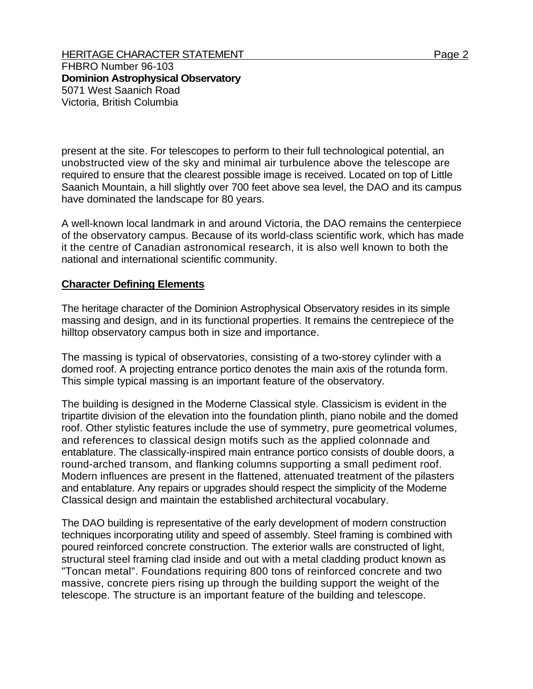FHBRO Number 96-103 **Dominion Astrophysical Observatory**  5071 West Saanich Road Victoria, British Columbia

present at the site. For telescopes to perform to their full technological potential, an unobstructed view of the sky and minimal air turbulence above the telescope are required to ensure that the clearest possible image is received. Located on top of Little Saanich Mountain, a hill slightly over 700 feet above sea level, the DAO and its campus have dominated the landscape for 80 years.

A well-known local landmark in and around Victoria, the DAO remains the centerpiece of the observatory campus. Because of its world-class scientific work, which has made it the centre of Canadian astronomical research, it is also well known to both the national and international scientific community.

## **Character Defining Elements**

The heritage character of the Dominion Astrophysical Observatory resides in its simple massing and design, and in its functional properties. It remains the centrepiece of the hilltop observatory campus both in size and importance.

The massing is typical of observatories, consisting of a two-storey cylinder with a domed roof. A projecting entrance portico denotes the main axis of the rotunda form. This simple typical massing is an important feature of the observatory.

The building is designed in the Moderne Classical style. Classicism is evident in the tripartite division of the elevation into the foundation plinth, piano nobile and the domed roof. Other stylistic features include the use of symmetry, pure geometrical volumes, and references to classical design motifs such as the applied colonnade and entablature. The classically-inspired main entrance portico consists of double doors, a round-arched transom, and flanking columns supporting a small pediment roof. Modern influences are present in the flattened, attenuated treatment of the pilasters and entablature. Any repairs or upgrades should respect the simplicity of the Moderne Classical design and maintain the established architectural vocabulary.

The DAO building is representative of the early development of modern construction techniques incorporating utility and speed of assembly. Steel framing is combined with poured reinforced concrete construction. The exterior walls are constructed of light, structural steel framing clad inside and out with a metal cladding product known as "Toncan metal". Foundations requiring 800 tons of reinforced concrete and two massive, concrete piers rising up through the building support the weight of the telescope. The structure is an important feature of the building and telescope.